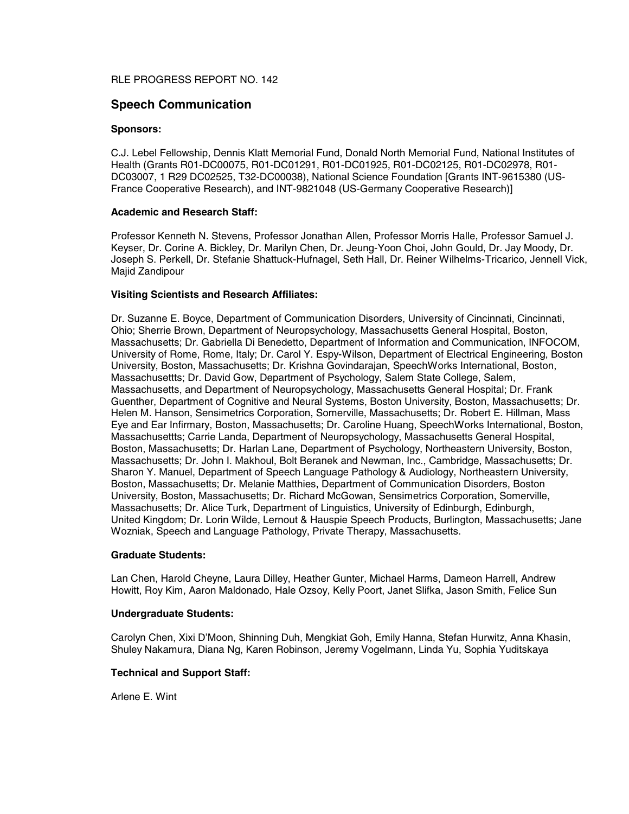## RLE PROGRESS REPORT NO. 142

## **Speech Communication**

#### **Sponsors:**

C.J. Lebel Fellowship, Dennis Klatt Memorial Fund, Donald North Memorial Fund, National Institutes of Health (Grants R01-DC00075, R01-DC01291, R01-DC01925, R01-DC02125, R01-DC02978, R01- DC03007, 1 R29 DC02525, T32-DC00038), National Science Foundation [Grants INT-9615380 (US-France Cooperative Research), and INT-9821048 (US-Germany Cooperative Research)]

#### **Academic and Research Staff:**

Professor Kenneth N. Stevens, Professor Jonathan Allen, Professor Morris Halle, Professor Samuel J. Keyser, Dr. Corine A. Bickley, Dr. Marilyn Chen, Dr. Jeung-Yoon Choi, John Gould, Dr. Jay Moody, Dr. Joseph S. Perkell, Dr. Stefanie Shattuck-Hufnagel, Seth Hall, Dr. Reiner Wilhelms-Tricarico, Jennell Vick, Majid Zandipour

#### **Visiting Scientists and Research Affiliates:**

Dr. Suzanne E. Boyce, Department of Communication Disorders, University of Cincinnati, Cincinnati, Ohio; Sherrie Brown, Department of Neuropsychology, Massachusetts General Hospital, Boston, Massachusetts; Dr. Gabriella Di Benedetto, Department of Information and Communication, INFOCOM, University of Rome, Rome, Italy; Dr. Carol Y. Espy-Wilson, Department of Electrical Engineering, Boston University, Boston, Massachusetts; Dr. Krishna Govindarajan, SpeechWorks International, Boston, Massachusettts; Dr. David Gow, Department of Psychology, Salem State College, Salem, Massachusetts, and Department of Neuropsychology, Massachusetts General Hospital; Dr. Frank Guenther, Department of Cognitive and Neural Systems, Boston University, Boston, Massachusetts; Dr. Helen M. Hanson, Sensimetrics Corporation, Somerville, Massachusetts; Dr. Robert E. Hillman, Mass Eye and Ear Infirmary, Boston, Massachusetts; Dr. Caroline Huang, SpeechWorks International, Boston, Massachusettts; Carrie Landa, Department of Neuropsychology, Massachusetts General Hospital, Boston, Massachusetts; Dr. Harlan Lane, Department of Psychology, Northeastern University, Boston, Massachusetts; Dr. John I. Makhoul, Bolt Beranek and Newman, Inc., Cambridge, Massachusetts; Dr. Sharon Y. Manuel, Department of Speech Language Pathology & Audiology, Northeastern University, Boston, Massachusetts; Dr. Melanie Matthies, Department of Communication Disorders, Boston University, Boston, Massachusetts; Dr. Richard McGowan, Sensimetrics Corporation, Somerville, Massachusetts; Dr. Alice Turk, Department of Linguistics, University of Edinburgh, Edinburgh, United Kingdom; Dr. Lorin Wilde, Lernout & Hauspie Speech Products, Burlington, Massachusetts; Jane Wozniak, Speech and Language Pathology, Private Therapy, Massachusetts.

#### **Graduate Students:**

Lan Chen, Harold Cheyne, Laura Dilley, Heather Gunter, Michael Harms, Dameon Harrell, Andrew Howitt, Roy Kim, Aaron Maldonado, Hale Ozsoy, Kelly Poort, Janet Slifka, Jason Smith, Felice Sun

#### **Undergraduate Students:**

Carolyn Chen, Xixi D'Moon, Shinning Duh, Mengkiat Goh, Emily Hanna, Stefan Hurwitz, Anna Khasin, Shuley Nakamura, Diana Ng, Karen Robinson, Jeremy Vogelmann, Linda Yu, Sophia Yuditskaya

#### **Technical and Support Staff:**

Arlene E. Wint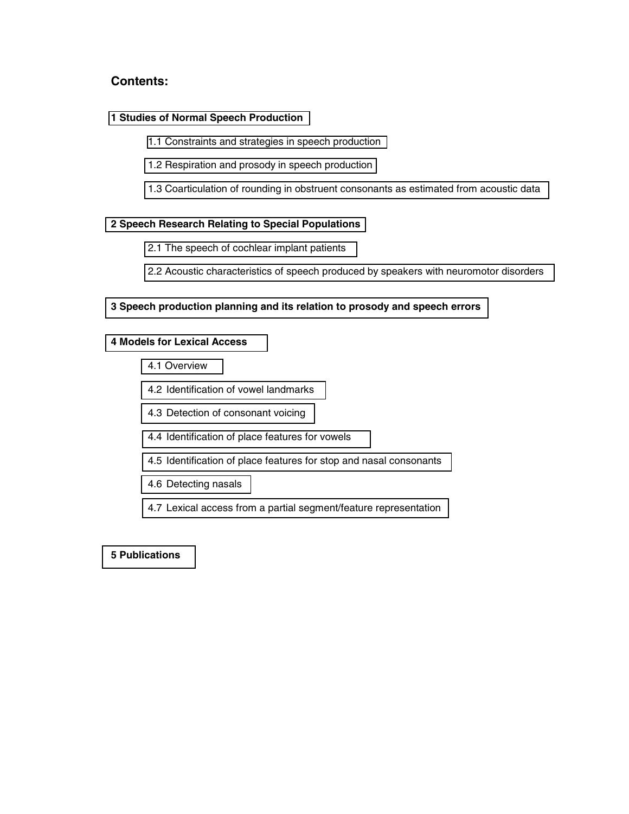# **Contents:**

### **[1 Studies of Normal Speech Production](#page-2-0)**

- [1.1 Constraints and strategies in speech production](#page-2-0)
- [1.2 Respiration and prosody in speech production](#page-3-0)
- [1.3 Coarticulation of rounding in obstruent consonants as estimated from acoustic data](#page-3-0)

## **[2 Speech Research Relating to Special Populations](#page-4-0)**

- [2.1 The speech of cochlear implant patients](#page-4-0)
- [2.2 Acoustic characteristics of speech produced by speakers with neuromotor disorders](#page-5-0)

## **[3 Speech production planning and its relation to prosody and speech errors](#page-6-0)**

## **[4 Models for Lexical Access](#page-7-0)**

- [4.1 Overview](#page-7-0)
- [4.2 Identification of vowel landmarks](#page-8-0)
- [4.3 Detection of consonant voicing](#page-8-0)
- [4.4 Identification of place features for vowels](#page-8-0)
- [4.5 Identification of place features for stop and nasal consonants](#page-9-0)
- [4.6 Detecting nasals](#page-9-0)
- [4.7 Lexical access from a partial segment/feature representation](#page-9-0)

## **[5 Publications](#page-10-0)**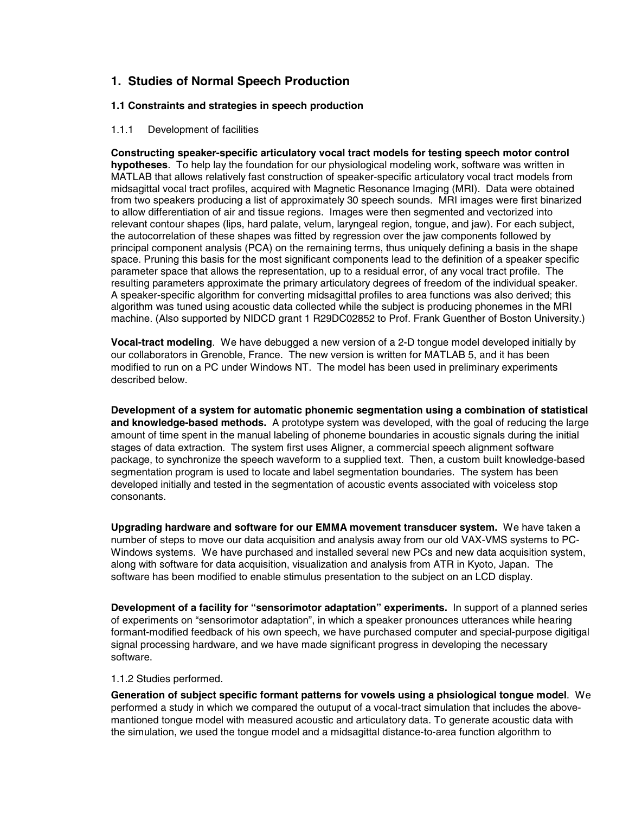# <span id="page-2-0"></span>**1. Studies of Normal Speech Production**

## **1.1 Constraints and strategies in speech production**

## 1.1.1 Development of facilities

**Constructing speaker-specific articulatory vocal tract models for testing speech motor control hypotheses**. To help lay the foundation for our physiological modeling work, software was written in MATLAB that allows relatively fast construction of speaker-specific articulatory vocal tract models from midsagittal vocal tract profiles, acquired with Magnetic Resonance Imaging (MRI). Data were obtained from two speakers producing a list of approximately 30 speech sounds. MRI images were first binarized to allow differentiation of air and tissue regions. Images were then segmented and vectorized into relevant contour shapes (lips, hard palate, velum, laryngeal region, tongue, and jaw). For each subject, the autocorrelation of these shapes was fitted by regression over the jaw components followed by principal component analysis (PCA) on the remaining terms, thus uniquely defining a basis in the shape space. Pruning this basis for the most significant components lead to the definition of a speaker specific parameter space that allows the representation, up to a residual error, of any vocal tract profile. The resulting parameters approximate the primary articulatory degrees of freedom of the individual speaker. A speaker-specific algorithm for converting midsagittal profiles to area functions was also derived; this algorithm was tuned using acoustic data collected while the subject is producing phonemes in the MRI machine. (Also supported by NIDCD grant 1 R29DC02852 to Prof. Frank Guenther of Boston University.)

**Vocal-tract modeling**. We have debugged a new version of a 2-D tongue model developed initially by our collaborators in Grenoble, France. The new version is written for MATLAB 5, and it has been modified to run on a PC under Windows NT. The model has been used in preliminary experiments described below.

**Development of a system for automatic phonemic segmentation using a combination of statistical and knowledge-based methods.** A prototype system was developed, with the goal of reducing the large amount of time spent in the manual labeling of phoneme boundaries in acoustic signals during the initial stages of data extraction. The system first uses Aligner, a commercial speech alignment software package, to synchronize the speech waveform to a supplied text. Then, a custom built knowledge-based segmentation program is used to locate and label segmentation boundaries. The system has been developed initially and tested in the segmentation of acoustic events associated with voiceless stop consonants.

**Upgrading hardware and software for our EMMA movement transducer system.** We have taken a number of steps to move our data acquisition and analysis away from our old VAX-VMS systems to PC-Windows systems. We have purchased and installed several new PCs and new data acquisition system, along with software for data acquisition, visualization and analysis from ATR in Kyoto, Japan. The software has been modified to enable stimulus presentation to the subject on an LCD display.

**Development of a facility for "sensorimotor adaptation" experiments.** In support of a planned series of experiments on "sensorimotor adaptation", in which a speaker pronounces utterances while hearing formant-modified feedback of his own speech, we have purchased computer and special-purpose digitigal signal processing hardware, and we have made significant progress in developing the necessary software.

#### 1.1.2 Studies performed*.*

**Generation of subject specific formant patterns for vowels using a phsiological tongue model**. We performed a study in which we compared the outuput of a vocal-tract simulation that includes the abovemantioned tongue model with measured acoustic and articulatory data. To generate acoustic data with the simulation, we used the tongue model and a midsagittal distance-to-area function algorithm to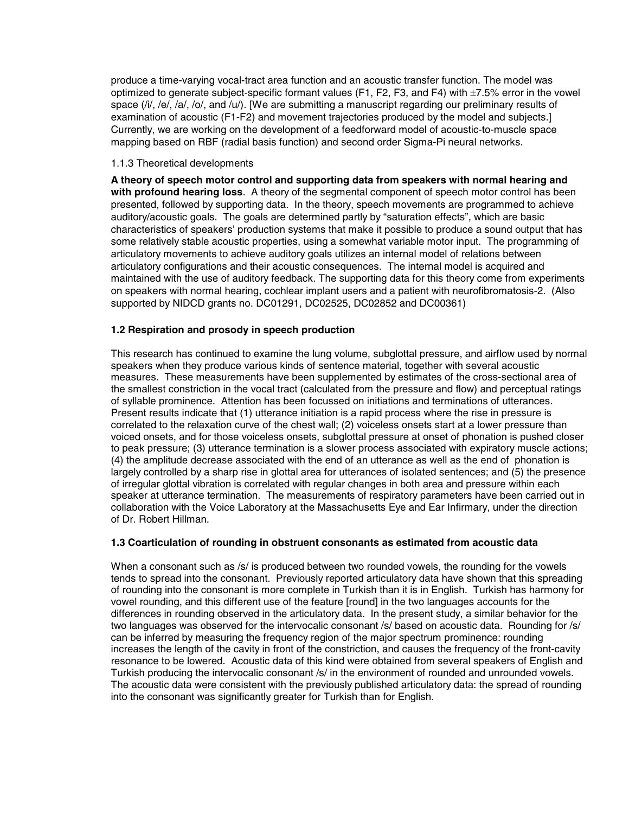<span id="page-3-0"></span>produce a time-varying vocal-tract area function and an acoustic transfer function. The model was optimized to generate subject-specific formant values (F1, F2, F3, and F4) with  $\pm$ 7.5% error in the vowel space ( $i/$ , /e/, /a/, /o/, and /u/). [We are submitting a manuscript regarding our preliminary results of examination of acoustic (F1-F2) and movement trajectories produced by the model and subjects.] Currently, we are working on the development of a feedforward model of acoustic-to-muscle space mapping based on RBF (radial basis function) and second order Sigma-Pi neural networks.

#### 1.1.3 Theoretical developments

**A theory of speech motor control and supporting data from speakers with normal hearing and with profound hearing loss**. A theory of the segmental component of speech motor control has been presented, followed by supporting data. In the theory, speech movements are programmed to achieve auditory/acoustic goals. The goals are determined partly by "saturation effects", which are basic characteristics of speakers' production systems that make it possible to produce a sound output that has some relatively stable acoustic properties, using a somewhat variable motor input. The programming of articulatory movements to achieve auditory goals utilizes an internal model of relations between articulatory configurations and their acoustic consequences. The internal model is acquired and maintained with the use of auditory feedback. The supporting data for this theory come from experiments on speakers with normal hearing, cochlear implant users and a patient with neurofibromatosis-2. (Also supported by NIDCD grants no. DC01291, DC02525, DC02852 and DC00361)

#### **1.2 Respiration and prosody in speech production**

This research has continued to examine the lung volume, subglottal pressure, and airflow used by normal speakers when they produce various kinds of sentence material, together with several acoustic measures. These measurements have been supplemented by estimates of the cross-sectional area of the smallest constriction in the vocal tract (calculated from the pressure and flow) and perceptual ratings of syllable prominence. Attention has been focussed on initiations and terminations of utterances. Present results indicate that (1) utterance initiation is a rapid process where the rise in pressure is correlated to the relaxation curve of the chest wall; (2) voiceless onsets start at a lower pressure than voiced onsets, and for those voiceless onsets, subglottal pressure at onset of phonation is pushed closer to peak pressure; (3) utterance termination is a slower process associated with expiratory muscle actions; (4) the amplitude decrease associated with the end of an utterance as well as the end of phonation is largely controlled by a sharp rise in glottal area for utterances of isolated sentences; and (5) the presence of irregular glottal vibration is correlated with regular changes in both area and pressure within each speaker at utterance termination. The measurements of respiratory parameters have been carried out in collaboration with the Voice Laboratory at the Massachusetts Eye and Ear Infirmary, under the direction of Dr. Robert Hillman.

#### **1.3 Coarticulation of rounding in obstruent consonants as estimated from acoustic data**

When a consonant such as /s/ is produced between two rounded vowels, the rounding for the vowels tends to spread into the consonant. Previously reported articulatory data have shown that this spreading of rounding into the consonant is more complete in Turkish than it is in English. Turkish has harmony for vowel rounding, and this different use of the feature [round] in the two languages accounts for the differences in rounding observed in the articulatory data. In the present study, a similar behavior for the two languages was observed for the intervocalic consonant /s/ based on acoustic data. Rounding for /s/ can be inferred by measuring the frequency region of the major spectrum prominence: rounding increases the length of the cavity in front of the constriction, and causes the frequency of the front-cavity resonance to be lowered. Acoustic data of this kind were obtained from several speakers of English and Turkish producing the intervocalic consonant /s/ in the environment of rounded and unrounded vowels. The acoustic data were consistent with the previously published articulatory data: the spread of rounding into the consonant was significantly greater for Turkish than for English.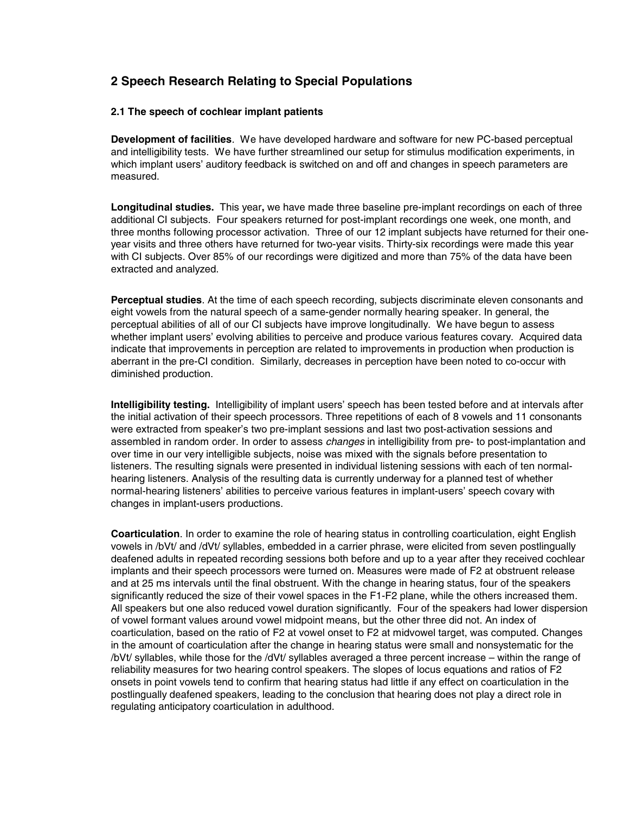# <span id="page-4-0"></span>**2 Speech Research Relating to Special Populations**

### **2.1 The speech of cochlear implant patients**

**Development of facilities***.* We have developed hardware and software for new PC-based perceptual and intelligibility tests. We have further streamlined our setup for stimulus modification experiments, in which implant users' auditory feedback is switched on and off and changes in speech parameters are measured.

**Longitudinal studies.** This year**,** we have made three baseline pre-implant recordings on each of three additional CI subjects. Four speakers returned for post-implant recordings one week, one month, and three months following processor activation. Three of our 12 implant subjects have returned for their oneyear visits and three others have returned for two-year visits. Thirty-six recordings were made this year with CI subjects. Over 85% of our recordings were digitized and more than 75% of the data have been extracted and analyzed.

**Perceptual studies**. At the time of each speech recording, subjects discriminate eleven consonants and eight vowels from the natural speech of a same-gender normally hearing speaker. In general, the perceptual abilities of all of our CI subjects have improve longitudinally. We have begun to assess whether implant users' evolving abilities to perceive and produce various features covary. Acquired data indicate that improvements in perception are related to improvements in production when production is aberrant in the pre-CI condition. Similarly, decreases in perception have been noted to co-occur with diminished production.

**Intelligibility testing.** Intelligibility of implant users' speech has been tested before and at intervals after the initial activation of their speech processors. Three repetitions of each of 8 vowels and 11 consonants were extracted from speaker's two pre-implant sessions and last two post-activation sessions and assembled in random order. In order to assess *changes* in intelligibility from pre- to post-implantation and over time in our very intelligible subjects, noise was mixed with the signals before presentation to listeners. The resulting signals were presented in individual listening sessions with each of ten normalhearing listeners. Analysis of the resulting data is currently underway for a planned test of whether normal-hearing listeners' abilities to perceive various features in implant-users' speech covary with changes in implant-users productions.

**Coarticulation**. In order to examine the role of hearing status in controlling coarticulation, eight English vowels in /bVt/ and /dVt/ syllables, embedded in a carrier phrase, were elicited from seven postlingually deafened adults in repeated recording sessions both before and up to a year after they received cochlear implants and their speech processors were turned on. Measures were made of F2 at obstruent release and at 25 ms intervals until the final obstruent. With the change in hearing status, four of the speakers significantly reduced the size of their vowel spaces in the F1-F2 plane, while the others increased them. All speakers but one also reduced vowel duration significantly. Four of the speakers had lower dispersion of vowel formant values around vowel midpoint means, but the other three did not. An index of coarticulation, based on the ratio of F2 at vowel onset to F2 at midvowel target, was computed. Changes in the amount of coarticulation after the change in hearing status were small and nonsystematic for the /bVt/ syllables, while those for the /dVt/ syllables averaged a three percent increase – within the range of reliability measures for two hearing control speakers. The slopes of locus equations and ratios of F2 onsets in point vowels tend to confirm that hearing status had little if any effect on coarticulation in the postlingually deafened speakers, leading to the conclusion that hearing does not play a direct role in regulating anticipatory coarticulation in adulthood.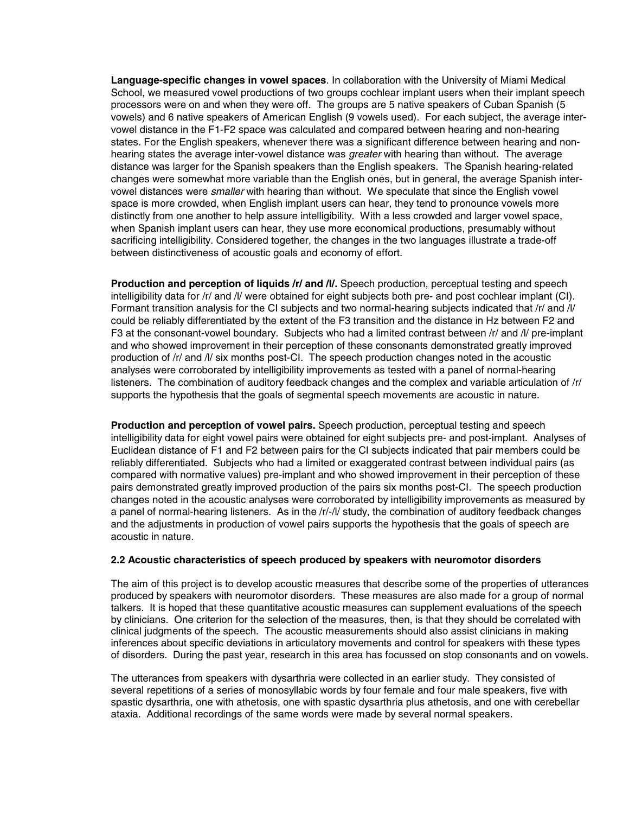<span id="page-5-0"></span>**Language-specific changes in vowel spaces**. In collaboration with the University of Miami Medical School, we measured vowel productions of two groups cochlear implant users when their implant speech processors were on and when they were off. The groups are 5 native speakers of Cuban Spanish (5 vowels) and 6 native speakers of American English (9 vowels used). For each subject, the average intervowel distance in the F1-F2 space was calculated and compared between hearing and non-hearing states. For the English speakers, whenever there was a significant difference between hearing and nonhearing states the average inter-vowel distance was *greater* with hearing than without. The average distance was larger for the Spanish speakers than the English speakers. The Spanish hearing-related changes were somewhat more variable than the English ones, but in general, the average Spanish intervowel distances were *smaller* with hearing than without. We speculate that since the English vowel space is more crowded, when English implant users can hear, they tend to pronounce vowels more distinctly from one another to help assure intelligibility. With a less crowded and larger vowel space, when Spanish implant users can hear, they use more economical productions, presumably without sacrificing intelligibility. Considered together, the changes in the two languages illustrate a trade-off between distinctiveness of acoustic goals and economy of effort.

**Production and perception of liquids /r/ and /l/.** Speech production, perceptual testing and speech intelligibility data for /r/ and /l/ were obtained for eight subjects both pre- and post cochlear implant (CI). Formant transition analysis for the CI subjects and two normal-hearing subjects indicated that /r/ and /l/ could be reliably differentiated by the extent of the F3 transition and the distance in Hz between F2 and F3 at the consonant-vowel boundary. Subjects who had a limited contrast between /r/ and /l/ pre-implant and who showed improvement in their perception of these consonants demonstrated greatly improved production of /r/ and /l/ six months post-CI. The speech production changes noted in the acoustic analyses were corroborated by intelligibility improvements as tested with a panel of normal-hearing listeners. The combination of auditory feedback changes and the complex and variable articulation of /r/ supports the hypothesis that the goals of segmental speech movements are acoustic in nature.

**Production and perception of vowel pairs.** Speech production, perceptual testing and speech intelligibility data for eight vowel pairs were obtained for eight subjects pre- and post-implant. Analyses of Euclidean distance of F1 and F2 between pairs for the CI subjects indicated that pair members could be reliably differentiated. Subjects who had a limited or exaggerated contrast between individual pairs (as compared with normative values) pre-implant and who showed improvement in their perception of these pairs demonstrated greatly improved production of the pairs six months post-CI. The speech production changes noted in the acoustic analyses were corroborated by intelligibility improvements as measured by a panel of normal-hearing listeners. As in the /r/-/l/ study, the combination of auditory feedback changes and the adjustments in production of vowel pairs supports the hypothesis that the goals of speech are acoustic in nature.

### **2.2 Acoustic characteristics of speech produced by speakers with neuromotor disorders**

The aim of this project is to develop acoustic measures that describe some of the properties of utterances produced by speakers with neuromotor disorders. These measures are also made for a group of normal talkers. It is hoped that these quantitative acoustic measures can supplement evaluations of the speech by clinicians. One criterion for the selection of the measures, then, is that they should be correlated with clinical judgments of the speech. The acoustic measurements should also assist clinicians in making inferences about specific deviations in articulatory movements and control for speakers with these types of disorders. During the past year, research in this area has focussed on stop consonants and on vowels.

The utterances from speakers with dysarthria were collected in an earlier study. They consisted of several repetitions of a series of monosyllabic words by four female and four male speakers, five with spastic dysarthria, one with athetosis, one with spastic dysarthria plus athetosis, and one with cerebellar ataxia. Additional recordings of the same words were made by several normal speakers.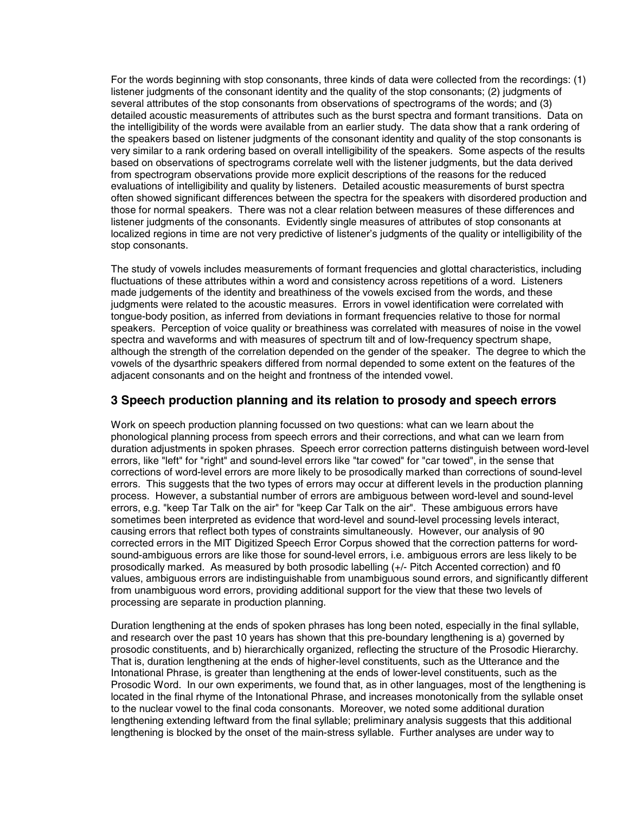<span id="page-6-0"></span>For the words beginning with stop consonants, three kinds of data were collected from the recordings: (1) listener judgments of the consonant identity and the quality of the stop consonants; (2) judgments of several attributes of the stop consonants from observations of spectrograms of the words; and (3) detailed acoustic measurements of attributes such as the burst spectra and formant transitions. Data on the intelligibility of the words were available from an earlier study. The data show that a rank ordering of the speakers based on listener judgments of the consonant identity and quality of the stop consonants is very similar to a rank ordering based on overall intelligibility of the speakers. Some aspects of the results based on observations of spectrograms correlate well with the listener judgments, but the data derived from spectrogram observations provide more explicit descriptions of the reasons for the reduced evaluations of intelligibility and quality by listeners. Detailed acoustic measurements of burst spectra often showed significant differences between the spectra for the speakers with disordered production and those for normal speakers. There was not a clear relation between measures of these differences and listener judgments of the consonants. Evidently single measures of attributes of stop consonants at localized regions in time are not very predictive of listener's judgments of the quality or intelligibility of the stop consonants.

The study of vowels includes measurements of formant frequencies and glottal characteristics, including fluctuations of these attributes within a word and consistency across repetitions of a word. Listeners made judgements of the identity and breathiness of the vowels excised from the words, and these judgments were related to the acoustic measures. Errors in vowel identification were correlated with tongue-body position, as inferred from deviations in formant frequencies relative to those for normal speakers. Perception of voice quality or breathiness was correlated with measures of noise in the vowel spectra and waveforms and with measures of spectrum tilt and of low-frequency spectrum shape, although the strength of the correlation depended on the gender of the speaker. The degree to which the vowels of the dysarthric speakers differed from normal depended to some extent on the features of the adjacent consonants and on the height and frontness of the intended vowel.

# **3 Speech production planning and its relation to prosody and speech errors**

Work on speech production planning focussed on two questions: what can we learn about the phonological planning process from speech errors and their corrections, and what can we learn from duration adjustments in spoken phrases. Speech error correction patterns distinguish between word-level errors, like "left" for "right" and sound-level errors like "tar cowed" for "car towed", in the sense that corrections of word-level errors are more likely to be prosodically marked than corrections of sound-level errors. This suggests that the two types of errors may occur at different levels in the production planning process. However, a substantial number of errors are ambiguous between word-level and sound-level errors, e.g. "keep Tar Talk on the air" for "keep Car Talk on the air". These ambiguous errors have sometimes been interpreted as evidence that word-level and sound-level processing levels interact, causing errors that reflect both types of constraints simultaneously. However, our analysis of 90 corrected errors in the MIT Digitized Speech Error Corpus showed that the correction patterns for wordsound-ambiguous errors are like those for sound-level errors, i.e. ambiguous errors are less likely to be prosodically marked. As measured by both prosodic labelling (+/- Pitch Accented correction) and f0 values, ambiguous errors are indistinguishable from unambiguous sound errors, and significantly different from unambiguous word errors, providing additional support for the view that these two levels of processing are separate in production planning.

Duration lengthening at the ends of spoken phrases has long been noted, especially in the final syllable, and research over the past 10 years has shown that this pre-boundary lengthening is a) governed by prosodic constituents, and b) hierarchically organized, reflecting the structure of the Prosodic Hierarchy. That is, duration lengthening at the ends of higher-level constituents, such as the Utterance and the Intonational Phrase, is greater than lengthening at the ends of lower-level constituents, such as the Prosodic Word. In our own experiments, we found that, as in other languages, most of the lengthening is located in the final rhyme of the Intonational Phrase, and increases monotonically from the syllable onset to the nuclear vowel to the final coda consonants. Moreover, we noted some additional duration lengthening extending leftward from the final syllable; preliminary analysis suggests that this additional lengthening is blocked by the onset of the main-stress syllable. Further analyses are under way to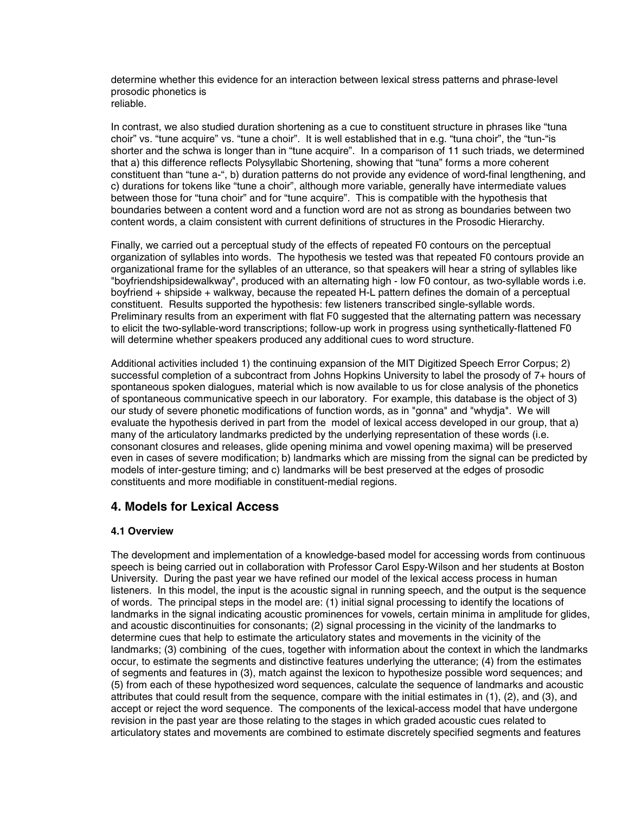<span id="page-7-0"></span>determine whether this evidence for an interaction between lexical stress patterns and phrase-level prosodic phonetics is reliable.

In contrast, we also studied duration shortening as a cue to constituent structure in phrases like "tuna choir" vs. "tune acquire" vs. "tune a choir". It is well established that in e.g. "tuna choir", the "tun-"is shorter and the schwa is longer than in "tune acquire". In a comparison of 11 such triads, we determined that a) this difference reflects Polysyllabic Shortening, showing that "tuna" forms a more coherent constituent than "tune a-", b) duration patterns do not provide any evidence of word-final lengthening, and c) durations for tokens like "tune a choir", although more variable, generally have intermediate values between those for "tuna choir" and for "tune acquire". This is compatible with the hypothesis that boundaries between a content word and a function word are not as strong as boundaries between two content words, a claim consistent with current definitions of structures in the Prosodic Hierarchy.

Finally, we carried out a perceptual study of the effects of repeated F0 contours on the perceptual organization of syllables into words. The hypothesis we tested was that repeated F0 contours provide an organizational frame for the syllables of an utterance, so that speakers will hear a string of syllables like "boyfriendshipsidewalkway", produced with an alternating high - low F0 contour, as two-syllable words i.e. boyfriend + shipside + walkway, because the repeated H-L pattern defines the domain of a perceptual constituent. Results supported the hypothesis: few listeners transcribed single-syllable words. Preliminary results from an experiment with flat F0 suggested that the alternating pattern was necessary to elicit the two-syllable-word transcriptions; follow-up work in progress using synthetically-flattened F0 will determine whether speakers produced any additional cues to word structure.

Additional activities included 1) the continuing expansion of the MIT Digitized Speech Error Corpus; 2) successful completion of a subcontract from Johns Hopkins University to label the prosody of 7+ hours of spontaneous spoken dialogues, material which is now available to us for close analysis of the phonetics of spontaneous communicative speech in our laboratory. For example, this database is the object of 3) our study of severe phonetic modifications of function words, as in "gonna" and "whydja". We will evaluate the hypothesis derived in part from the model of lexical access developed in our group, that a) many of the articulatory landmarks predicted by the underlying representation of these words (i.e. consonant closures and releases, glide opening minima and vowel opening maxima) will be preserved even in cases of severe modification; b) landmarks which are missing from the signal can be predicted by models of inter-gesture timing; and c) landmarks will be best preserved at the edges of prosodic constituents and more modifiable in constituent-medial regions.

# **4. Models for Lexical Access**

## **4.1 Overview**

The development and implementation of a knowledge-based model for accessing words from continuous speech is being carried out in collaboration with Professor Carol Espy-Wilson and her students at Boston University. During the past year we have refined our model of the lexical access process in human listeners. In this model, the input is the acoustic signal in running speech, and the output is the sequence of words. The principal steps in the model are: (1) initial signal processing to identify the locations of landmarks in the signal indicating acoustic prominences for vowels, certain minima in amplitude for glides, and acoustic discontinuities for consonants; (2) signal processing in the vicinity of the landmarks to determine cues that help to estimate the articulatory states and movements in the vicinity of the landmarks; (3) combining of the cues, together with information about the context in which the landmarks occur, to estimate the segments and distinctive features underlying the utterance; (4) from the estimates of segments and features in (3), match against the lexicon to hypothesize possible word sequences; and (5) from each of these hypothesized word sequences, calculate the sequence of landmarks and acoustic attributes that could result from the sequence, compare with the initial estimates in (1), (2), and (3), and accept or reject the word sequence. The components of the lexical-access model that have undergone revision in the past year are those relating to the stages in which graded acoustic cues related to articulatory states and movements are combined to estimate discretely specified segments and features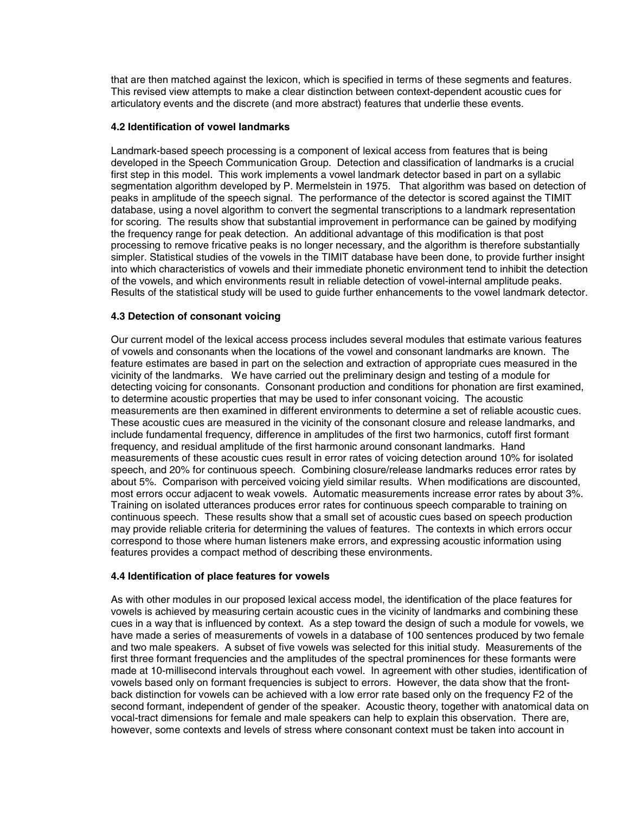<span id="page-8-0"></span>that are then matched against the lexicon, which is specified in terms of these segments and features. This revised view attempts to make a clear distinction between context-dependent acoustic cues for articulatory events and the discrete (and more abstract) features that underlie these events.

#### **4.2 Identification of vowel landmarks**

Landmark-based speech processing is a component of lexical access from features that is being developed in the Speech Communication Group. Detection and classification of landmarks is a crucial first step in this model. This work implements a vowel landmark detector based in part on a syllabic segmentation algorithm developed by P. Mermelstein in 1975. That algorithm was based on detection of peaks in amplitude of the speech signal. The performance of the detector is scored against the TIMIT database, using a novel algorithm to convert the segmental transcriptions to a landmark representation for scoring. The results show that substantial improvement in performance can be gained by modifying the frequency range for peak detection. An additional advantage of this modification is that post processing to remove fricative peaks is no longer necessary, and the algorithm is therefore substantially simpler. Statistical studies of the vowels in the TIMIT database have been done, to provide further insight into which characteristics of vowels and their immediate phonetic environment tend to inhibit the detection of the vowels, and which environments result in reliable detection of vowel-internal amplitude peaks. Results of the statistical study will be used to guide further enhancements to the vowel landmark detector.

## **4.3 Detection of consonant voicing**

Our current model of the lexical access process includes several modules that estimate various features of vowels and consonants when the locations of the vowel and consonant landmarks are known. The feature estimates are based in part on the selection and extraction of appropriate cues measured in the vicinity of the landmarks. We have carried out the preliminary design and testing of a module for detecting voicing for consonants. Consonant production and conditions for phonation are first examined, to determine acoustic properties that may be used to infer consonant voicing. The acoustic measurements are then examined in different environments to determine a set of reliable acoustic cues. These acoustic cues are measured in the vicinity of the consonant closure and release landmarks, and include fundamental frequency, difference in amplitudes of the first two harmonics, cutoff first formant frequency, and residual amplitude of the first harmonic around consonant landmarks. Hand measurements of these acoustic cues result in error rates of voicing detection around 10% for isolated speech, and 20% for continuous speech. Combining closure/release landmarks reduces error rates by about 5%. Comparison with perceived voicing yield similar results. When modifications are discounted, most errors occur adjacent to weak vowels. Automatic measurements increase error rates by about 3%. Training on isolated utterances produces error rates for continuous speech comparable to training on continuous speech. These results show that a small set of acoustic cues based on speech production may provide reliable criteria for determining the values of features. The contexts in which errors occur correspond to those where human listeners make errors, and expressing acoustic information using features provides a compact method of describing these environments.

#### **4.4 Identification of place features for vowels**

As with other modules in our proposed lexical access model, the identification of the place features for vowels is achieved by measuring certain acoustic cues in the vicinity of landmarks and combining these cues in a way that is influenced by context. As a step toward the design of such a module for vowels, we have made a series of measurements of vowels in a database of 100 sentences produced by two female and two male speakers. A subset of five vowels was selected for this initial study. Measurements of the first three formant frequencies and the amplitudes of the spectral prominences for these formants were made at 10-millisecond intervals throughout each vowel. In agreement with other studies, identification of vowels based only on formant frequencies is subject to errors. However, the data show that the frontback distinction for vowels can be achieved with a low error rate based only on the frequency F2 of the second formant, independent of gender of the speaker. Acoustic theory, together with anatomical data on vocal-tract dimensions for female and male speakers can help to explain this observation. There are, however, some contexts and levels of stress where consonant context must be taken into account in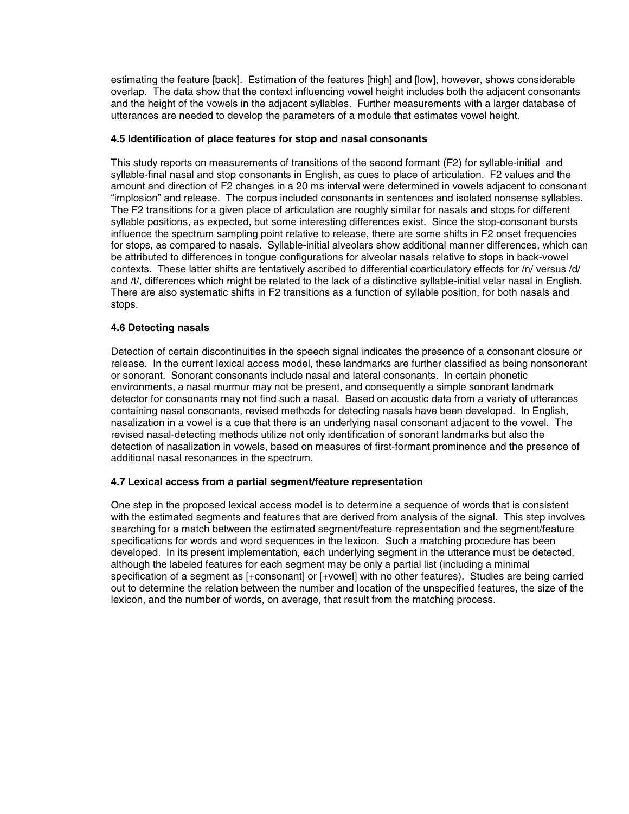<span id="page-9-0"></span>estimating the feature [back]. Estimation of the features [high] and [low], however, shows considerable overlap. The data show that the context influencing vowel height includes both the adjacent consonants and the height of the vowels in the adjacent syllables. Further measurements with a larger database of utterances are needed to develop the parameters of a module that estimates vowel height.

### **4.5 Identification of place features for stop and nasal consonants**

This study reports on measurements of transitions of the second formant (F2) for syllable-initial and syllable-final nasal and stop consonants in English, as cues to place of articulation. F2 values and the amount and direction of F2 changes in a 20 ms interval were determined in vowels adjacent to consonant "implosion" and release. The corpus included consonants in sentences and isolated nonsense syllables. The F2 transitions for a given place of articulation are roughly similar for nasals and stops for different syllable positions, as expected, but some interesting differences exist. Since the stop-consonant bursts influence the spectrum sampling point relative to release, there are some shifts in F2 onset frequencies for stops, as compared to nasals. Syllable-initial alveolars show additional manner differences, which can be attributed to differences in tongue configurations for alveolar nasals relative to stops in back-vowel contexts. These latter shifts are tentatively ascribed to differential coarticulatory effects for /n/ versus /d/ and /t/, differences which might be related to the lack of a distinctive syllable-initial velar nasal in English. There are also systematic shifts in F2 transitions as a function of syllable position, for both nasals and stops.

## **4.6 Detecting nasals**

Detection of certain discontinuities in the speech signal indicates the presence of a consonant closure or release. In the current lexical access model, these landmarks are further classified as being nonsonorant or sonorant. Sonorant consonants include nasal and lateral consonants. In certain phonetic environments, a nasal murmur may not be present, and consequently a simple sonorant landmark detector for consonants may not find such a nasal. Based on acoustic data from a variety of utterances containing nasal consonants, revised methods for detecting nasals have been developed. In English, nasalization in a vowel is a cue that there is an underlying nasal consonant adjacent to the vowel. The revised nasal-detecting methods utilize not only identification of sonorant landmarks but also the detection of nasalization in vowels, based on measures of first-formant prominence and the presence of additional nasal resonances in the spectrum.

#### **4.7 Lexical access from a partial segment/feature representation**

One step in the proposed lexical access model is to determine a sequence of words that is consistent with the estimated segments and features that are derived from analysis of the signal. This step involves searching for a match between the estimated segment/feature representation and the segment/feature specifications for words and word sequences in the lexicon. Such a matching procedure has been developed. In its present implementation, each underlying segment in the utterance must be detected, although the labeled features for each segment may be only a partial list (including a minimal specification of a segment as [+consonant] or [+vowel] with no other features). Studies are being carried out to determine the relation between the number and location of the unspecified features, the size of the lexicon, and the number of words, on average, that result from the matching process.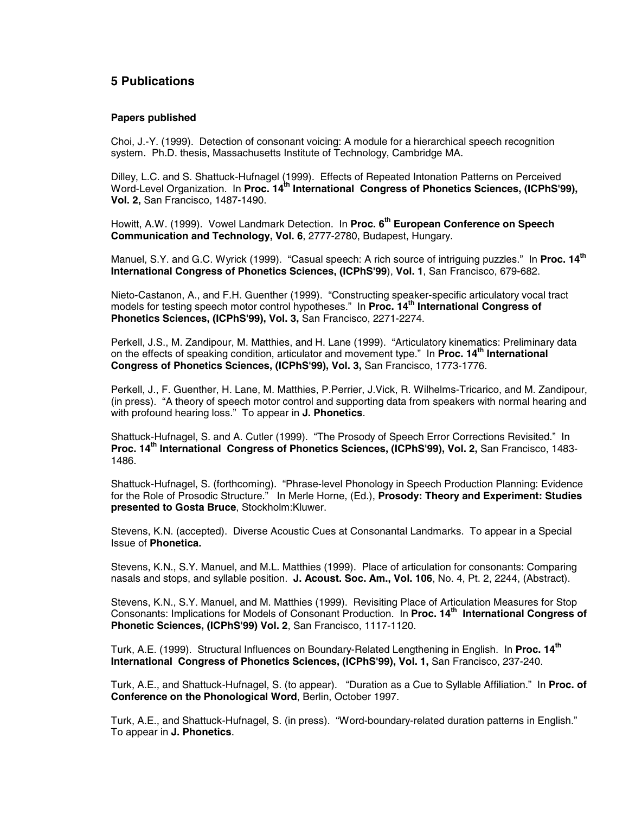# <span id="page-10-0"></span>**5 Publications**

#### **Papers published**

Choi, J.-Y. (1999). Detection of consonant voicing: A module for a hierarchical speech recognition system. Ph.D. thesis, Massachusetts Institute of Technology, Cambridge MA.

Dilley, L.C. and S. Shattuck-Hufnagel (1999). Effects of Repeated Intonation Patterns on Perceived Word-Level Organization. In **Proc. 14<sup>th</sup> International Congress of Phonetics Sciences, (ICPhS'99), Vol. 2,** San Francisco, 1487-1490.

Howitt, A.W. (1999). Vowel Landmark Detection. In Proc. 6<sup>th</sup> European Conference on Speech **Communication and Technology, Vol. 6**, 2777-2780, Budapest, Hungary.

Manuel, S.Y. and G.C. Wyrick (1999). "Casual speech: A rich source of intriguing puzzles." In **Proc. 14th International Congress of Phonetics Sciences, (ICPhS'99**), **Vol. 1**, San Francisco, 679-682.

Nieto-Castanon, A., and F.H. Guenther (1999). "Constructing speaker-specific articulatory vocal tract models for testing speech motor control hypotheses." In **Proc. 14th International Congress of Phonetics Sciences, (ICPhS'99), Vol. 3,** San Francisco, 2271-2274.

Perkell, J.S., M. Zandipour, M. Matthies, and H. Lane (1999). "Articulatory kinematics: Preliminary data on the effects of speaking condition, articulator and movement type." In **Proc. 14th International Congress of Phonetics Sciences, (ICPhS'99), Vol. 3,** San Francisco, 1773-1776.

Perkell, J., F. Guenther, H. Lane, M. Matthies, P.Perrier, J.Vick, R. Wilhelms-Tricarico, and M. Zandipour, (in press). "A theory of speech motor control and supporting data from speakers with normal hearing and with profound hearing loss." To appear in **J. Phonetics**.

Shattuck-Hufnagel, S. and A. Cutler (1999). "The Prosody of Speech Error Corrections Revisited." In **Proc. 14th International Congress of Phonetics Sciences, (ICPhS'99), Vol. 2,** San Francisco, 1483- 1486.

Shattuck-Hufnagel, S. (forthcoming). "Phrase-level Phonology in Speech Production Planning: Evidence for the Role of Prosodic Structure." In Merle Horne, (Ed.), **Prosody: Theory and Experiment: Studies presented to Gosta Bruce**, Stockholm:Kluwer.

Stevens, K.N. (accepted). Diverse Acoustic Cues at Consonantal Landmarks. To appear in a Special Issue of **Phonetica.**

Stevens, K.N., S.Y. Manuel, and M.L. Matthies (1999). Place of articulation for consonants: Comparing nasals and stops, and syllable position. **J. Acoust. Soc. Am., Vol. 106**, No. 4, Pt. 2, 2244, (Abstract).

Stevens, K.N., S.Y. Manuel, and M. Matthies (1999). Revisiting Place of Articulation Measures for Stop Consonants: Implications for Models of Consonant Production. In **Proc. 14th International Congress of Phonetic Sciences, (ICPhS'99) Vol. 2**, San Francisco, 1117-1120.

Turk, A.E. (1999). Structural Influences on Boundary-Related Lengthening in English. In **Proc. 14th International Congress of Phonetics Sciences, (ICPhS'99), Vol. 1,** San Francisco, 237-240.

Turk, A.E., and Shattuck-Hufnagel, S. (to appear). "Duration as a Cue to Syllable Affiliation." In **Proc. of Conference on the Phonological Word**, Berlin, October 1997.

Turk, A.E., and Shattuck-Hufnagel, S. (in press). "Word-boundary-related duration patterns in English." To appear in **J. Phonetics**.